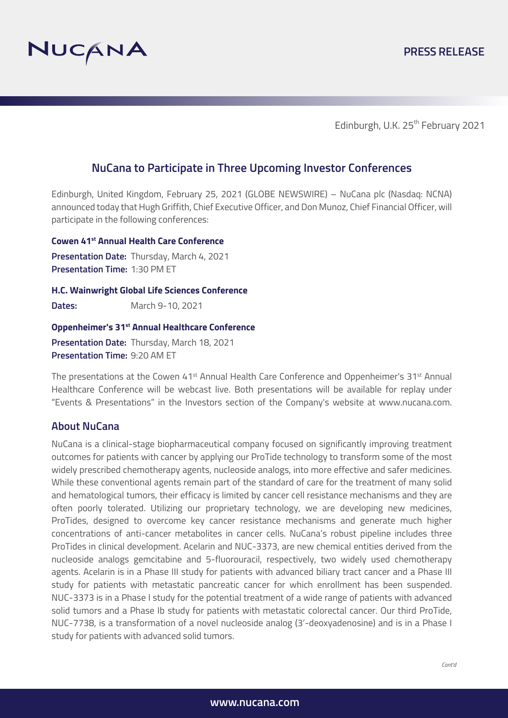

Edinburgh, U.K. 25<sup>th</sup> February 2021

# **NuCana to Participate in Three Upcoming Investor Conferences**

Edinburgh, United Kingdom, February 25, 2021 (GLOBE NEWSWIRE) – NuCana plc (Nasdaq: NCNA) announced today that Hugh Griffith, Chief Executive Officer, and Don Munoz, Chief Financial Officer, will participate in the following conferences:

**Cowen 41st Annual Health Care Conference**

**Presentation Date:** Thursday, March 4, 2021 **Presentation Time:** 1:30 PM ET

**H.C. Wainwright Global Life Sciences Conference**

**Dates:** March 9-10, 2021

#### **Oppenheimer's 31st Annual Healthcare Conference**

**Presentation Date:** Thursday, March 18, 2021 **Presentation Time:** 9:20 AM ET

The presentations at the Cowen 41<sup>st</sup> Annual Health Care Conference and Oppenheimer's 31<sup>st</sup> Annual Healthcare Conference will be webcast live. Both presentations will be available for replay under "Events & Presentations" in the Investors section of the Company's website at www.nucana.com.

## **About NuCana**

NuCana is a clinical-stage biopharmaceutical company focused on significantly improving treatment outcomes for patients with cancer by applying our ProTide technology to transform some of the most widely prescribed chemotherapy agents, nucleoside analogs, into more effective and safer medicines. While these conventional agents remain part of the standard of care for the treatment of many solid and hematological tumors, their efficacy is limited by cancer cell resistance mechanisms and they are often poorly tolerated. Utilizing our proprietary technology, we are developing new medicines, ProTides, designed to overcome key cancer resistance mechanisms and generate much higher concentrations of anti-cancer metabolites in cancer cells. NuCana's robust pipeline includes three ProTides in clinical development. Acelarin and NUC-3373, are new chemical entities derived from the nucleoside analogs gemcitabine and 5-fluorouracil, respectively, two widely used chemotherapy agents. Acelarin is in a Phase III study for patients with advanced biliary tract cancer and a Phase III study for patients with metastatic pancreatic cancer for which enrollment has been suspended. NUC-3373 is in a Phase I study for the potential treatment of a wide range of patients with advanced solid tumors and a Phase Ib study for patients with metastatic colorectal cancer. Our third ProTide, NUC-7738, is a transformation of a novel nucleoside analog (3'-deoxyadenosine) and is in a Phase I study for patients with advanced solid tumors.